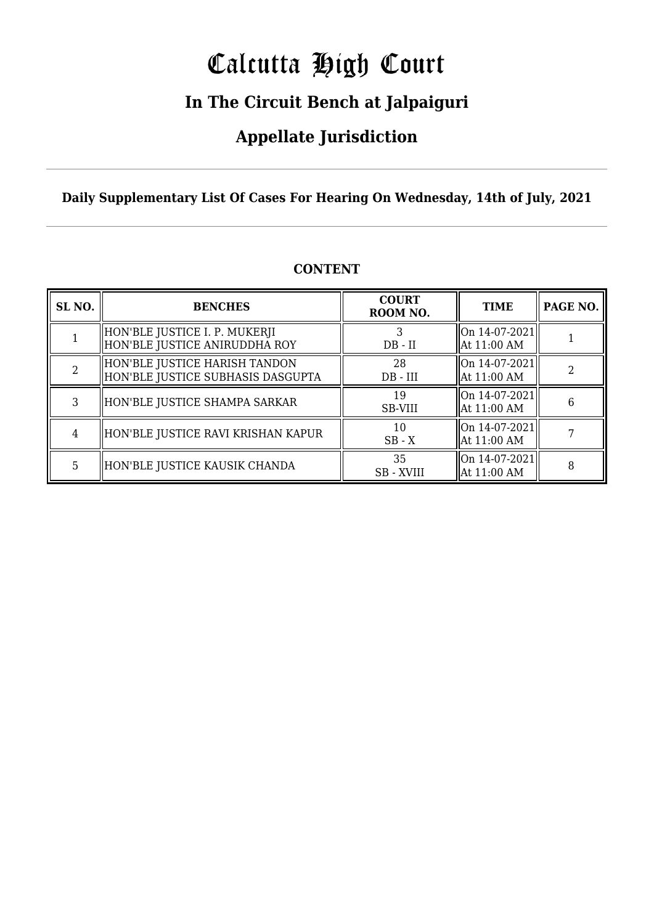# Calcutta High Court

### **In The Circuit Bench at Jalpaiguri**

### **Appellate Jurisdiction**

**Daily Supplementary List Of Cases For Hearing On Wednesday, 14th of July, 2021**

| SL <sub>NO.</sub> | <b>BENCHES</b>                                                     | <b>COURT</b><br>ROOM NO. | <b>TIME</b>                    | PAGE NO. |
|-------------------|--------------------------------------------------------------------|--------------------------|--------------------------------|----------|
|                   | HON'BLE JUSTICE I. P. MUKERJI<br>HON'BLE JUSTICE ANIRUDDHA ROY     | $DB - II$                | On 14-07-2021<br>  At 11:00 AM |          |
|                   | HON'BLE JUSTICE HARISH TANDON<br>HON'BLE JUSTICE SUBHASIS DASGUPTA | 28<br>$DB - III$         | On 14-07-2021<br>  At 11:00 AM |          |
| 3                 | HON'BLE JUSTICE SHAMPA SARKAR                                      | 19<br><b>SB-VIII</b>     | On 14-07-2021<br>  At 11:00 AM | 6        |
| 4                 | HON'BLE JUSTICE RAVI KRISHAN KAPUR                                 | 10<br>$SB - X$           | On 14-07-2021<br>  At 11:00 AM |          |
| 5                 | HON'BLE JUSTICE KAUSIK CHANDA                                      | 35<br><b>SB</b> - XVIII  | On 14-07-2021<br>  At 11:00 AM | 8        |

#### **CONTENT**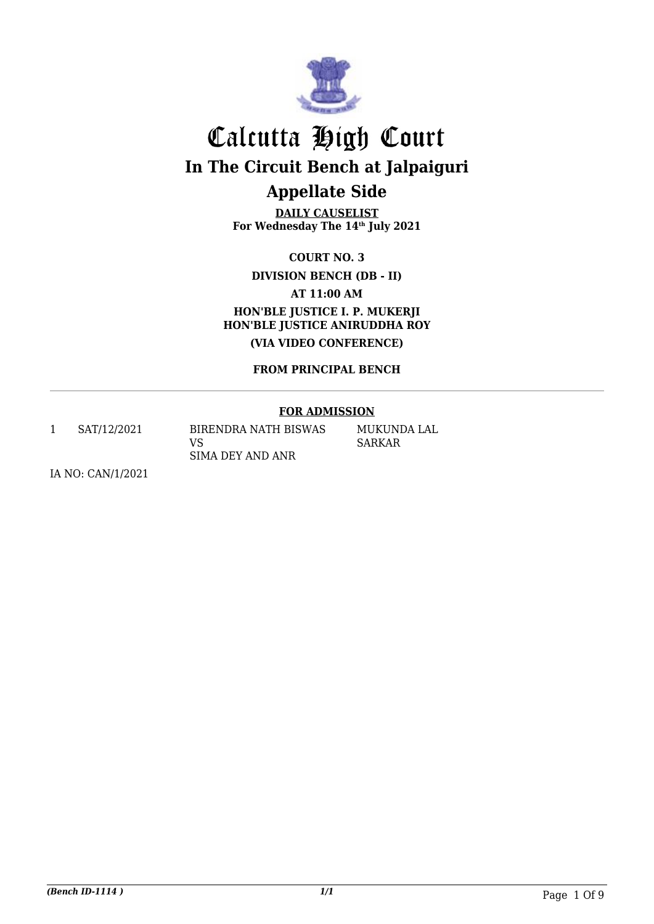

**DAILY CAUSELIST For Wednesday The 14th July 2021**

**COURT NO. 3**

**DIVISION BENCH (DB - II)**

**AT 11:00 AM**

**HON'BLE JUSTICE I. P. MUKERJI HON'BLE JUSTICE ANIRUDDHA ROY (VIA VIDEO CONFERENCE)**

**FROM PRINCIPAL BENCH**

#### **FOR ADMISSION**

1 SAT/12/2021 BIRENDRA NATH BISWAS

VS SIMA DEY AND ANR MUKUNDA LAL SARKAR

IA NO: CAN/1/2021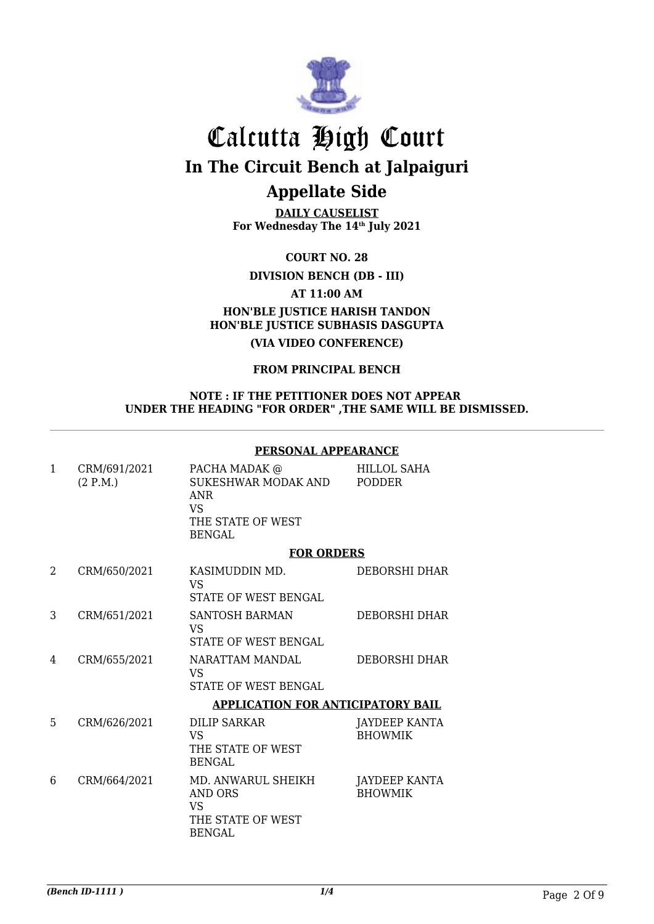

**DAILY CAUSELIST For Wednesday The 14th July 2021**

**COURT NO. 28**

**DIVISION BENCH (DB - III)**

**AT 11:00 AM**

### **HON'BLE JUSTICE HARISH TANDON HON'BLE JUSTICE SUBHASIS DASGUPTA**

**(VIA VIDEO CONFERENCE)**

#### **FROM PRINCIPAL BENCH**

#### **NOTE : IF THE PETITIONER DOES NOT APPEAR UNDER THE HEADING "FOR ORDER" ,THE SAME WILL BE DISMISSED.**

#### **PERSONAL APPEARANCE**

| $\mathbf{1}$ | CRM/691/2021<br>(2 P.M.) | PACHA MADAK @<br>SUKESHWAR MODAK AND<br><b>ANR</b><br><b>VS</b><br>THE STATE OF WEST<br><b>BENGAL</b> | HILLOL SAHA<br><b>PODDER</b>           |
|--------------|--------------------------|-------------------------------------------------------------------------------------------------------|----------------------------------------|
|              |                          | <b>FOR ORDERS</b>                                                                                     |                                        |
| 2            | CRM/650/2021             | KASIMUDDIN MD.<br>VS.<br><b>STATE OF WEST BENGAL</b>                                                  | <b>DEBORSHI DHAR</b>                   |
| 3            | CRM/651/2021             | <b>SANTOSH BARMAN</b><br><b>VS</b><br>STATE OF WEST BENGAL                                            | <b>DEBORSHI DHAR</b>                   |
| 4            | CRM/655/2021             | NARATTAM MANDAL<br><b>VS</b><br><b>STATE OF WEST BENGAL</b>                                           | DEBORSHI DHAR                          |
|              |                          | <b>APPLICATION FOR ANTICIPATORY BAIL</b>                                                              |                                        |
| 5            | CRM/626/2021             | <b>DILIP SARKAR</b><br><b>VS</b><br>THE STATE OF WEST<br><b>BENGAL</b>                                | <b>JAYDEEP KANTA</b><br><b>BHOWMIK</b> |
| 6            | CRM/664/2021             | MD. ANWARUL SHEIKH<br><b>AND ORS</b><br><b>VS</b><br>THE STATE OF WEST<br>BENGAL                      | JAYDEEP KANTA<br><b>BHOWMIK</b>        |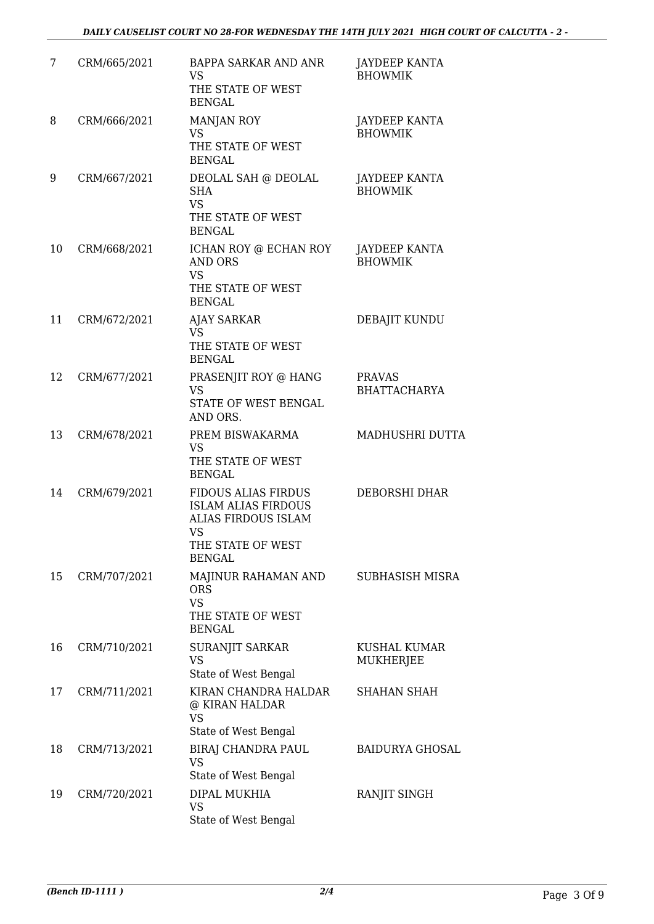| 7  | CRM/665/2021 | BAPPA SARKAR AND ANR<br><b>VS</b><br>THE STATE OF WEST<br><b>BENGAL</b>                                                     | <b>JAYDEEP KANTA</b><br><b>BHOWMIK</b> |
|----|--------------|-----------------------------------------------------------------------------------------------------------------------------|----------------------------------------|
| 8  | CRM/666/2021 | <b>MANJAN ROY</b><br>VS<br>THE STATE OF WEST<br><b>BENGAL</b>                                                               | JAYDEEP KANTA<br><b>BHOWMIK</b>        |
| 9  | CRM/667/2021 | DEOLAL SAH @ DEOLAL<br><b>SHA</b><br><b>VS</b><br>THE STATE OF WEST<br><b>BENGAL</b>                                        | JAYDEEP KANTA<br><b>BHOWMIK</b>        |
| 10 | CRM/668/2021 | ICHAN ROY @ ECHAN ROY<br><b>AND ORS</b><br><b>VS</b><br>THE STATE OF WEST<br><b>BENGAL</b>                                  | <b>JAYDEEP KANTA</b><br><b>BHOWMIK</b> |
| 11 | CRM/672/2021 | <b>AJAY SARKAR</b><br><b>VS</b><br>THE STATE OF WEST<br><b>BENGAL</b>                                                       | DEBAJIT KUNDU                          |
| 12 | CRM/677/2021 | PRASENJIT ROY @ HANG<br>VS<br>STATE OF WEST BENGAL<br>AND ORS.                                                              | <b>PRAVAS</b><br><b>BHATTACHARYA</b>   |
| 13 | CRM/678/2021 | PREM BISWAKARMA<br><b>VS</b><br>THE STATE OF WEST<br><b>BENGAL</b>                                                          | MADHUSHRI DUTTA                        |
| 14 | CRM/679/2021 | <b>FIDOUS ALIAS FIRDUS</b><br><b>ISLAM ALIAS FIRDOUS</b><br>ALIAS FIRDOUS ISLAM<br>VS<br>THE STATE OF WEST<br><b>BENGAL</b> | DEBORSHI DHAR                          |
| 15 | CRM/707/2021 | MAJINUR RAHAMAN AND<br><b>ORS</b><br><b>VS</b><br>THE STATE OF WEST<br><b>BENGAL</b>                                        | SUBHASISH MISRA                        |
| 16 | CRM/710/2021 | SURANJIT SARKAR<br>VS<br>State of West Bengal                                                                               | KUSHAL KUMAR<br><b>MUKHERJEE</b>       |
| 17 | CRM/711/2021 | KIRAN CHANDRA HALDAR<br>@ KIRAN HALDAR<br><b>VS</b><br>State of West Bengal                                                 | SHAHAN SHAH                            |
| 18 | CRM/713/2021 | BIRAJ CHANDRA PAUL<br><b>VS</b><br>State of West Bengal                                                                     | <b>BAIDURYA GHOSAL</b>                 |
| 19 | CRM/720/2021 | DIPAL MUKHIA<br><b>VS</b><br>State of West Bengal                                                                           | RANJIT SINGH                           |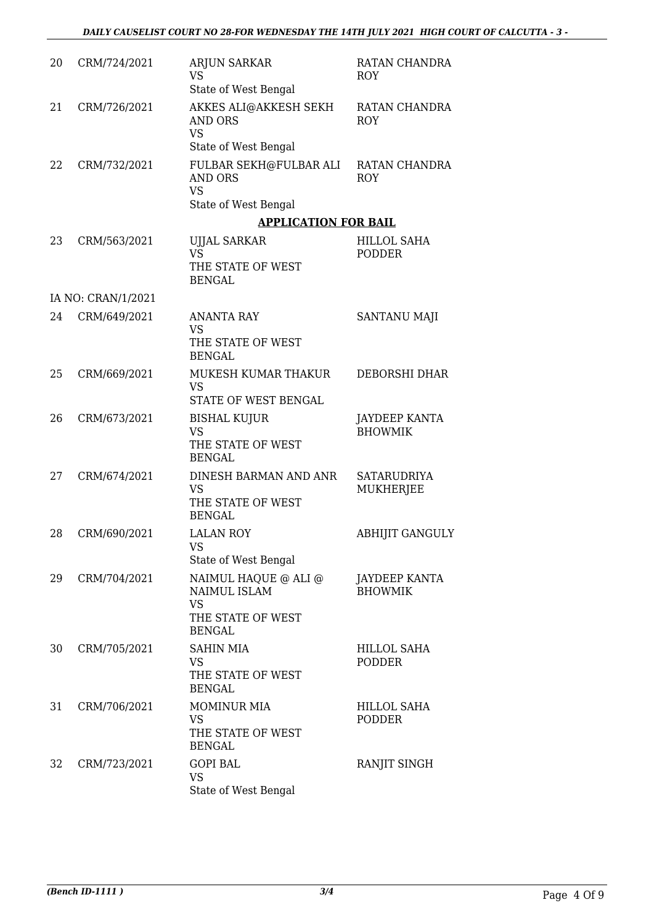| 20 | CRM/724/2021       | <b>ARJUN SARKAR</b><br>VS<br>State of West Bengal                                              | RATAN CHANDRA<br><b>ROY</b>            |
|----|--------------------|------------------------------------------------------------------------------------------------|----------------------------------------|
| 21 | CRM/726/2021       | AKKES ALI@AKKESH SEKH<br><b>AND ORS</b><br><b>VS</b><br>State of West Bengal                   | RATAN CHANDRA<br><b>ROY</b>            |
| 22 | CRM/732/2021       | FULBAR SEKH@FULBAR ALI<br><b>AND ORS</b><br><b>VS</b><br>State of West Bengal                  | RATAN CHANDRA<br><b>ROY</b>            |
|    |                    | <b>APPLICATION FOR BAIL</b>                                                                    |                                        |
| 23 | CRM/563/2021       | UJJAL SARKAR<br><b>VS</b><br>THE STATE OF WEST<br><b>BENGAL</b>                                | <b>HILLOL SAHA</b><br><b>PODDER</b>    |
|    | IA NO: CRAN/1/2021 |                                                                                                |                                        |
| 24 | CRM/649/2021       | <b>ANANTA RAY</b><br><b>VS</b><br>THE STATE OF WEST<br><b>BENGAL</b>                           | SANTANU MAJI                           |
| 25 | CRM/669/2021       | MUKESH KUMAR THAKUR<br><b>VS</b><br>STATE OF WEST BENGAL                                       | <b>DEBORSHI DHAR</b>                   |
| 26 | CRM/673/2021       | BISHAL KUJUR<br><b>VS</b><br>THE STATE OF WEST<br><b>BENGAL</b>                                | <b>JAYDEEP KANTA</b><br><b>BHOWMIK</b> |
| 27 | CRM/674/2021       | DINESH BARMAN AND ANR<br><b>VS</b><br>THE STATE OF WEST<br><b>BENGAL</b>                       | <b>SATARUDRIYA</b><br><b>MUKHERJEE</b> |
| 28 | CRM/690/2021       | <b>LALAN ROY</b><br>VS<br>State of West Bengal                                                 | <b>ABHIJIT GANGULY</b>                 |
| 29 | CRM/704/2021       | NAIMUL HAQUE @ ALI @<br><b>NAIMUL ISLAM</b><br><b>VS</b><br>THE STATE OF WEST<br><b>BENGAL</b> | <b>JAYDEEP KANTA</b><br><b>BHOWMIK</b> |
| 30 | CRM/705/2021       | <b>SAHIN MIA</b><br><b>VS</b><br>THE STATE OF WEST<br><b>BENGAL</b>                            | HILLOL SAHA<br><b>PODDER</b>           |
| 31 | CRM/706/2021       | <b>MOMINUR MIA</b><br><b>VS</b><br>THE STATE OF WEST<br><b>BENGAL</b>                          | <b>HILLOL SAHA</b><br><b>PODDER</b>    |
| 32 | CRM/723/2021       | <b>GOPI BAL</b><br><b>VS</b><br>State of West Bengal                                           | RANJIT SINGH                           |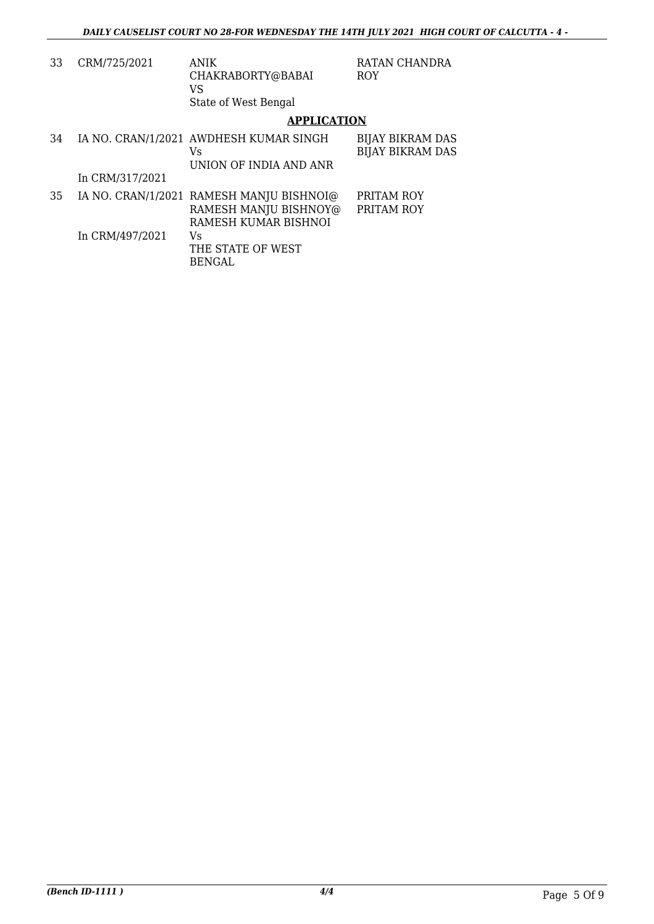| 33 | CRM/725/2021    | <b>ANIK</b><br>CHAKRABORTY@BABAI<br>VS<br>State of West Bengal                            | RATAN CHANDRA<br><b>ROY</b>                        |
|----|-----------------|-------------------------------------------------------------------------------------------|----------------------------------------------------|
|    |                 | <b>APPLICATION</b>                                                                        |                                                    |
| 34 |                 | IA NO. CRAN/1/2021 AWDHESH KUMAR SINGH<br>Vs.<br>UNION OF INDIA AND ANR                   | <b>BIJAY BIKRAM DAS</b><br><b>BIJAY BIKRAM DAS</b> |
|    | In CRM/317/2021 |                                                                                           |                                                    |
| 35 |                 | IA NO. CRAN/1/2021 RAMESH MANJU BISHNOI@<br>RAMESH MANJU BISHNOY@<br>RAMESH KUMAR BISHNOI | PRITAM ROY<br>PRITAM ROY                           |
|    | In CRM/497/2021 | Vs.<br>THE STATE OF WEST<br><b>BENGAL</b>                                                 |                                                    |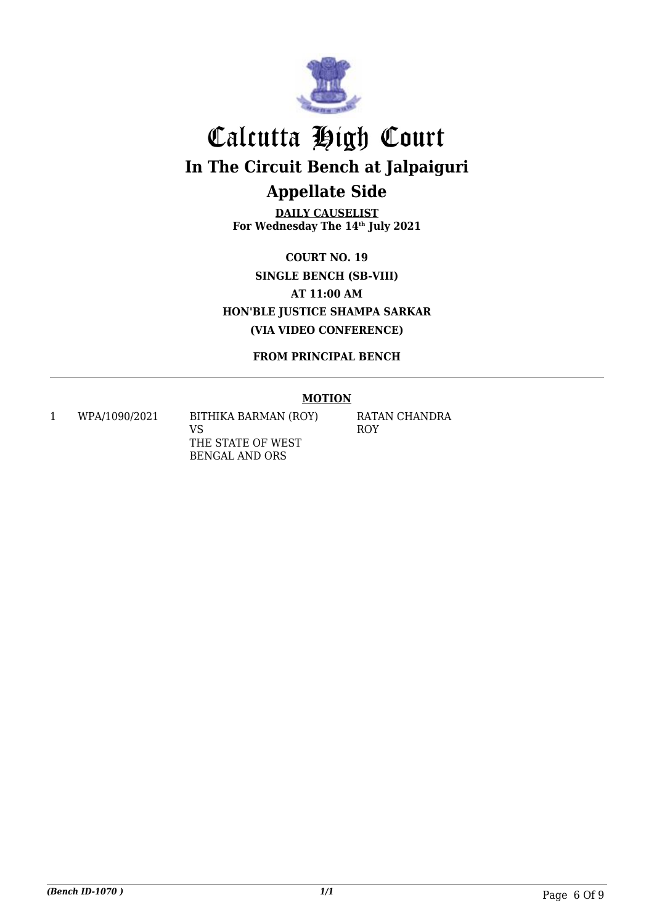

**DAILY CAUSELIST For Wednesday The 14th July 2021**

**COURT NO. 19 SINGLE BENCH (SB-VIII) AT 11:00 AM HON'BLE JUSTICE SHAMPA SARKAR (VIA VIDEO CONFERENCE)**

**FROM PRINCIPAL BENCH**

#### **MOTION**

1 WPA/1090/2021 BITHIKA BARMAN (ROY) VS THE STATE OF WEST BENGAL AND ORS

RATAN CHANDRA ROY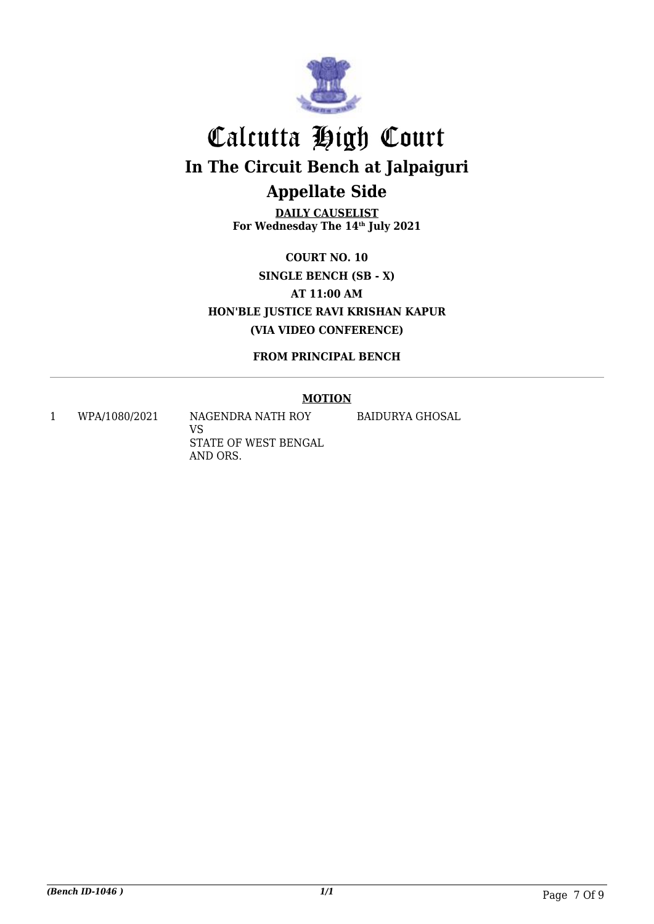

**DAILY CAUSELIST For Wednesday The 14th July 2021**

**COURT NO. 10 SINGLE BENCH (SB - X) AT 11:00 AM HON'BLE JUSTICE RAVI KRISHAN KAPUR (VIA VIDEO CONFERENCE)**

**FROM PRINCIPAL BENCH**

#### **MOTION**

1 WPA/1080/2021 NAGENDRA NATH ROY

VS STATE OF WEST BENGAL AND ORS.

BAIDURYA GHOSAL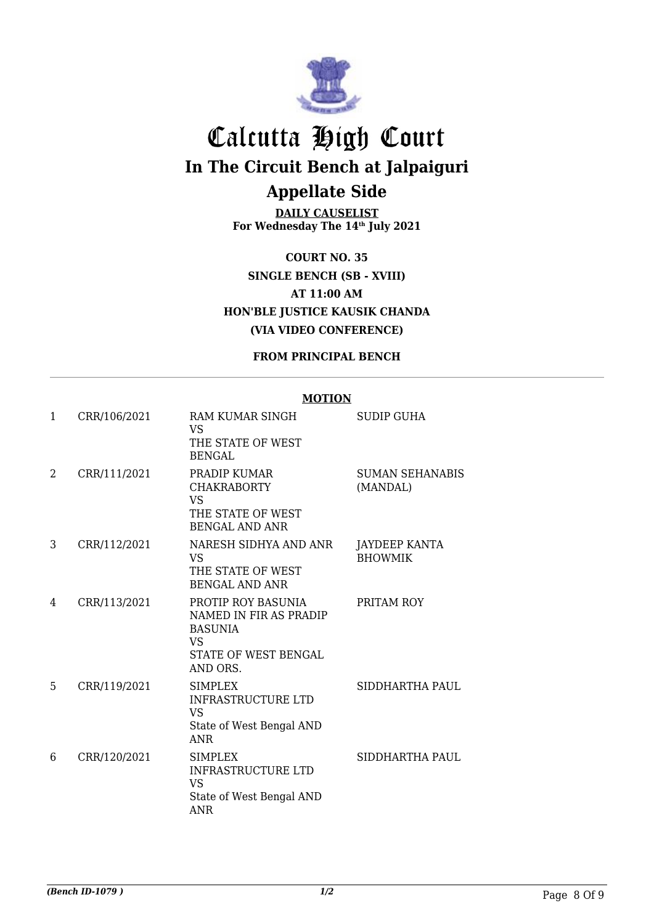

**DAILY CAUSELIST For Wednesday The 14th July 2021**

**COURT NO. 35 SINGLE BENCH (SB - XVIII) AT 11:00 AM HON'BLE JUSTICE KAUSIK CHANDA (VIA VIDEO CONFERENCE)**

**FROM PRINCIPAL BENCH**

### **MOTION**

| $\mathbf{1}$ | CRR/106/2021 | RAM KUMAR SINGH<br><b>VS</b><br>THE STATE OF WEST<br><b>BENGAL</b>                                       | <b>SUDIP GUHA</b>                  |
|--------------|--------------|----------------------------------------------------------------------------------------------------------|------------------------------------|
| 2            | CRR/111/2021 | PRADIP KUMAR<br><b>CHAKRABORTY</b><br><b>VS</b><br>THE STATE OF WEST<br><b>BENGAL AND ANR</b>            | <b>SUMAN SEHANABIS</b><br>(MANDAL) |
| 3            | CRR/112/2021 | NARESH SIDHYA AND ANR<br><b>VS</b><br>THE STATE OF WEST<br><b>BENGAL AND ANR</b>                         | JAYDEEP KANTA<br><b>BHOWMIK</b>    |
| 4            | CRR/113/2021 | PROTIP ROY BASUNIA<br>NAMED IN FIR AS PRADIP<br><b>BASUNIA</b><br>VS<br>STATE OF WEST BENGAL<br>AND ORS. | PRITAM ROY                         |
| 5            | CRR/119/2021 | <b>SIMPLEX</b><br><b>INFRASTRUCTURE LTD</b><br><b>VS</b><br>State of West Bengal AND<br><b>ANR</b>       | SIDDHARTHA PAUL                    |
| 6            | CRR/120/2021 | <b>SIMPLEX</b><br><b>INFRASTRUCTURE LTD</b><br><b>VS</b><br>State of West Bengal AND<br>ANR              | SIDDHARTHA PAUL                    |